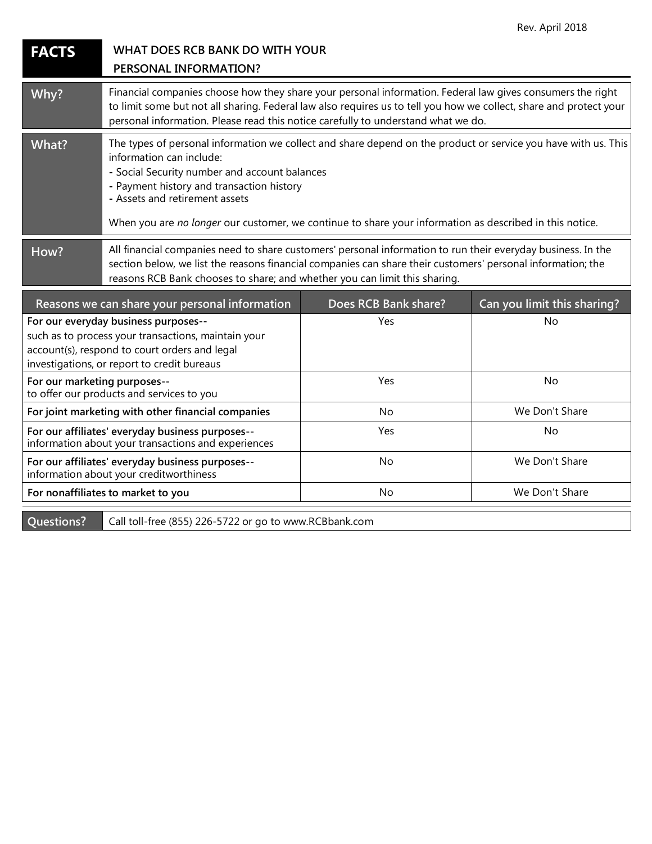| <b>FACTS</b>                                                                                                                                                                                | WHAT DOES RCB BANK DO WITH YOUR<br>PERSONAL INFORMATION?                                                                                                                                                                                                                                                                                                                              |                      |                             |
|---------------------------------------------------------------------------------------------------------------------------------------------------------------------------------------------|---------------------------------------------------------------------------------------------------------------------------------------------------------------------------------------------------------------------------------------------------------------------------------------------------------------------------------------------------------------------------------------|----------------------|-----------------------------|
| Why?                                                                                                                                                                                        | Financial companies choose how they share your personal information. Federal law gives consumers the right<br>to limit some but not all sharing. Federal law also requires us to tell you how we collect, share and protect your<br>personal information. Please read this notice carefully to understand what we do.                                                                 |                      |                             |
| What?                                                                                                                                                                                       | The types of personal information we collect and share depend on the product or service you have with us. This<br>information can include:<br>- Social Security number and account balances<br>- Payment history and transaction history<br>- Assets and retirement assets<br>When you are no longer our customer, we continue to share your information as described in this notice. |                      |                             |
| How?                                                                                                                                                                                        | All financial companies need to share customers' personal information to run their everyday business. In the<br>section below, we list the reasons financial companies can share their customers' personal information; the<br>reasons RCB Bank chooses to share; and whether you can limit this sharing.                                                                             |                      |                             |
|                                                                                                                                                                                             | Reasons we can share your personal information                                                                                                                                                                                                                                                                                                                                        | Does RCB Bank share? | Can you limit this sharing? |
| For our everyday business purposes--<br>such as to process your transactions, maintain your<br>account(s), respond to court orders and legal<br>investigations, or report to credit bureaus |                                                                                                                                                                                                                                                                                                                                                                                       | Yes                  | No                          |
| For our marketing purposes--<br>to offer our products and services to you                                                                                                                   |                                                                                                                                                                                                                                                                                                                                                                                       | Yes                  | No                          |
| For joint marketing with other financial companies                                                                                                                                          |                                                                                                                                                                                                                                                                                                                                                                                       | No                   | We Don't Share              |
| For our affiliates' everyday business purposes--<br>information about your transactions and experiences                                                                                     |                                                                                                                                                                                                                                                                                                                                                                                       | Yes                  | No                          |
| For our affiliates' everyday business purposes--<br>information about your creditworthiness                                                                                                 |                                                                                                                                                                                                                                                                                                                                                                                       | No                   | We Don't Share              |
| For nonaffiliates to market to you                                                                                                                                                          |                                                                                                                                                                                                                                                                                                                                                                                       | No                   | We Don't Share              |

**Questions?** Call toll-free (855) 226-5722 or go to www.RCBbank.com